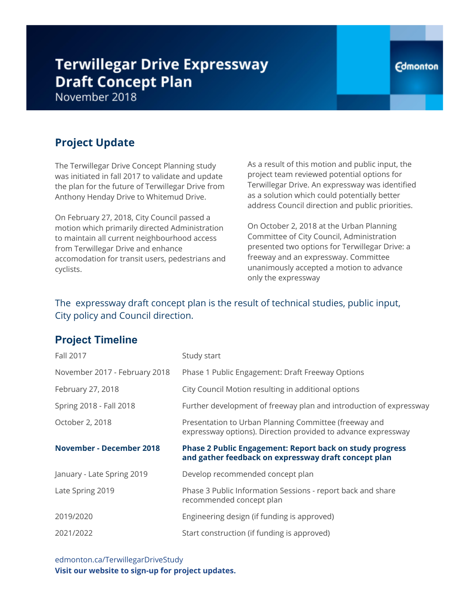# **Terwillegar Drive Expressway Draft Concept Plan**

November 2018

## **Project Update**

The Terwillegar Drive Concept Planning study was initiated in fall 2017 to validate and update the plan for the future of Terwillegar Drive from Anthony Henday Drive to Whitemud Drive.

On February 27, 2018, City Council passed a motion which primarily directed Administration to maintain all current neighbourhood access from Terwillegar Drive and enhance accomodation for transit users, pedestrians and cyclists.

As a result of this motion and public input, the project team reviewed potential options for Terwillegar Drive. An expressway was identified as a solution which could potentially better address Council direction and public priorities.

On October 2, 2018 at the Urban Planning Committee of City Council, Administration presented two options for Terwillegar Drive: a freeway and an expressway. Committee unanimously accepted a motion to advance only the expressway

### The expressway draft concept plan is the result of technical studies, public input, City policy and Council direction.

### **Project Timeline**

| Fall 2017                       | Study start                                                                                                             |
|---------------------------------|-------------------------------------------------------------------------------------------------------------------------|
| November 2017 - February 2018   | Phase 1 Public Engagement: Draft Freeway Options                                                                        |
| February 27, 2018               | City Council Motion resulting in additional options                                                                     |
| Spring 2018 - Fall 2018         | Further development of freeway plan and introduction of expressway                                                      |
| October 2, 2018                 | Presentation to Urban Planning Committee (freeway and<br>expressway options). Direction provided to advance expressway  |
| <b>November - December 2018</b> | <b>Phase 2 Public Engagement: Report back on study progress</b><br>and gather feedback on expressway draft concept plan |
| January - Late Spring 2019      | Develop recommended concept plan                                                                                        |
| Late Spring 2019                | Phase 3 Public Information Sessions - report back and share<br>recommended concept plan                                 |
| 2019/2020                       | Engineering design (if funding is approved)                                                                             |
| 2021/2022                       | Start construction (if funding is approved)                                                                             |

edmonton.ca/TerwillegarDriveStudy **Visit our website to sign-up for project updates.**

### **Edmonton**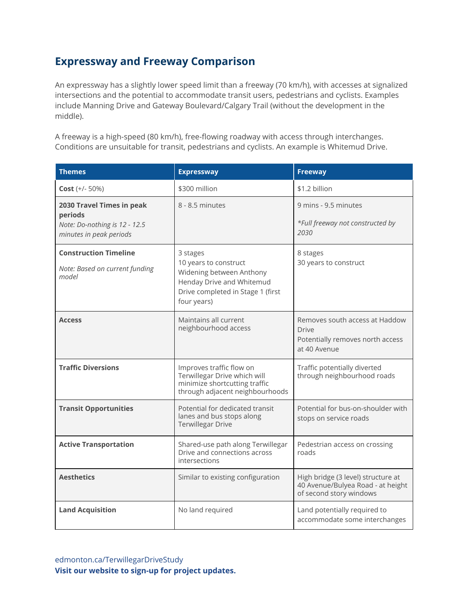### **Expressway and Freeway Comparison**

An expressway has a slightly lower speed limit than a freeway (70 km/h), with accesses at signalized intersections and the potential to accommodate transit users, pedestrians and cyclists. Examples include Manning Drive and Gateway Boulevard/Calgary Trail (without the development in the middle).

A freeway is a high-speed (80 km/h), free-flowing roadway with access through interchanges. Conditions are unsuitable for transit, pedestrians and cyclists. An example is Whitemud Drive.

| <b>Themes</b>                                                                                    | <b>Expressway</b>                                                                                                                              | <b>Freeway</b>                                                                                     |
|--------------------------------------------------------------------------------------------------|------------------------------------------------------------------------------------------------------------------------------------------------|----------------------------------------------------------------------------------------------------|
| $Cost (+/- 50%)$                                                                                 | \$300 million                                                                                                                                  | \$1.2 billion                                                                                      |
| 2030 Travel Times in peak<br>periods<br>Note: Do-nothing is 12 - 12.5<br>minutes in peak periods | 8 - 8.5 minutes                                                                                                                                | 9 mins - 9.5 minutes<br>*Full freeway not constructed by<br>2030                                   |
| <b>Construction Timeline</b><br>Note: Based on current funding<br>model                          | 3 stages<br>10 years to construct<br>Widening between Anthony<br>Henday Drive and Whitemud<br>Drive completed in Stage 1 (first<br>four years) | 8 stages<br>30 years to construct                                                                  |
| <b>Access</b>                                                                                    | Maintains all current<br>neighbourhood access                                                                                                  | Removes south access at Haddow<br>Drive<br>Potentially removes north access<br>at 40 Avenue        |
| <b>Traffic Diversions</b>                                                                        | Improves traffic flow on<br>Terwillegar Drive which will<br>minimize shortcutting traffic<br>through adjacent neighbourhoods                   | Traffic potentially diverted<br>through neighbourhood roads                                        |
| <b>Transit Opportunities</b>                                                                     | Potential for dedicated transit<br>lanes and bus stops along<br><b>Terwillegar Drive</b>                                                       | Potential for bus-on-shoulder with<br>stops on service roads                                       |
| <b>Active Transportation</b>                                                                     | Shared-use path along Terwillegar<br>Drive and connections across<br>intersections                                                             | Pedestrian access on crossing<br>roads                                                             |
| <b>Aesthetics</b>                                                                                | Similar to existing configuration                                                                                                              | High bridge (3 level) structure at<br>40 Avenue/Bulyea Road - at height<br>of second story windows |
| <b>Land Acquisition</b>                                                                          | No land required                                                                                                                               | Land potentially required to<br>accommodate some interchanges                                      |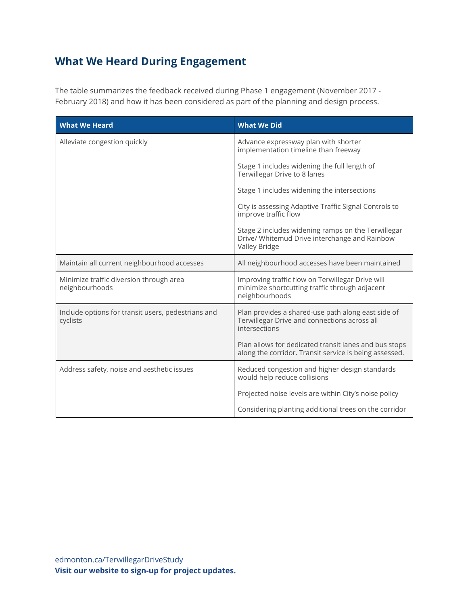# **What We Heard During Engagement**

The table summarizes the feedback received during Phase 1 engagement (November 2017 - February 2018) and how it has been considered as part of the planning and design process.

| <b>What We Heard</b>                                           | <b>What We Did</b>                                                                                                   |  |
|----------------------------------------------------------------|----------------------------------------------------------------------------------------------------------------------|--|
| Alleviate congestion quickly                                   | Advance expressway plan with shorter<br>implementation timeline than freeway                                         |  |
|                                                                | Stage 1 includes widening the full length of<br>Terwillegar Drive to 8 lanes                                         |  |
|                                                                | Stage 1 includes widening the intersections                                                                          |  |
|                                                                | City is assessing Adaptive Traffic Signal Controls to<br>improve traffic flow                                        |  |
|                                                                | Stage 2 includes widening ramps on the Terwillegar<br>Drive/ Whitemud Drive interchange and Rainbow<br>Valley Bridge |  |
| Maintain all current neighbourhood accesses                    | All neighbourhood accesses have been maintained                                                                      |  |
| Minimize traffic diversion through area<br>neighbourhoods      | Improving traffic flow on Terwillegar Drive will<br>minimize shortcutting traffic through adjacent<br>neighbourhoods |  |
| Include options for transit users, pedestrians and<br>cyclists | Plan provides a shared-use path along east side of<br>Terwillegar Drive and connections across all<br>intersections  |  |
|                                                                | Plan allows for dedicated transit lanes and bus stops<br>along the corridor. Transit service is being assessed.      |  |
| Address safety, noise and aesthetic issues                     | Reduced congestion and higher design standards<br>would help reduce collisions                                       |  |
|                                                                | Projected noise levels are within City's noise policy                                                                |  |
|                                                                | Considering planting additional trees on the corridor                                                                |  |